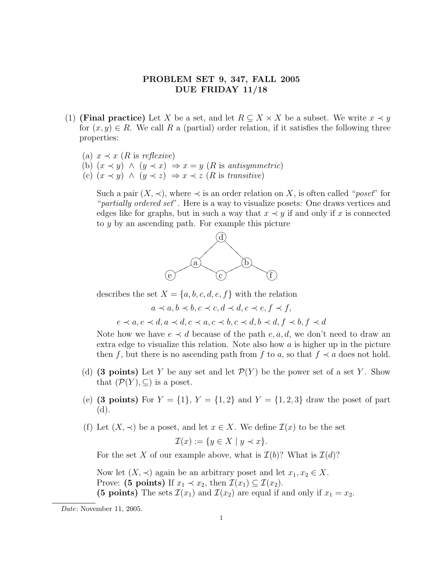## PROBLEM SET 9, 347, FALL 2005 DUE FRIDAY 11/18

- (1) (Final practice) Let X be a set, and let  $R \subseteq X \times X$  be a subset. We write  $x \prec y$ for  $(x, y) \in R$ . We call R a (partial) order relation, if it satisfies the following three properties:
	- (a)  $x \prec x$  (R is reflexive)
	- (b)  $(x \prec y) \land (y \prec x) \Rightarrow x = y$  (R is antisymmetric)
	- (c)  $(x \prec y) \land (y \prec z) \Rightarrow x \prec z$  (R is transitive)

Such a pair  $(X, \prec)$ , where  $\prec$  is an order relation on X, is often called "*poset*" for "*partially ordered set*". Here is a way to visualize posets: One draws vertices and edges like for graphs, but in such a way that  $x \prec y$  if and only if x is connected to y by an ascending path. For example this picture



describes the set  $X = \{a, b, c, d, e, f\}$  with the relation

 $a \prec a, b \prec b, c \prec c, d \prec d, e \prec e, f \prec f,$ 

 $e \prec a, e \prec d, a \prec d, c \prec a, c \prec b, c \prec d, b \prec d, f \prec b, f \prec d$ 

Note how we have  $e \prec d$  because of the path  $e, a, d$ , we don't need to draw an extra edge to visualize this relation. Note also how  $a$  is higher up in the picture then f, but there is no ascending path from f to a, so that  $f \prec a$  does not hold.

- (d) (3 points) Let Y be any set and let  $\mathcal{P}(Y)$  be the power set of a set Y. Show that  $(\mathcal{P}(Y), \subseteq)$  is a poset.
- (e) (3 points) For  $Y = \{1\}$ ,  $Y = \{1, 2\}$  and  $Y = \{1, 2, 3\}$  draw the poset of part (d).
- (f) Let  $(X, \prec)$  be a poset, and let  $x \in X$ . We define  $\mathcal{I}(x)$  to be the set

$$
\mathcal{I}(x) := \{ y \in X \mid y \prec x \}.
$$

For the set X of our example above, what is  $\mathcal{I}(b)$ ? What is  $\mathcal{I}(d)$ ?

Now let  $(X, \prec)$  again be an arbitrary poset and let  $x_1, x_2 \in X$ . Prove: (5 points) If  $x_1 \prec x_2$ , then  $\mathcal{I}(x_1) \subseteq \mathcal{I}(x_2)$ . (5 points) The sets  $\mathcal{I}(x_1)$  and  $\mathcal{I}(x_2)$  are equal if and only if  $x_1 = x_2$ .

Date: November 11, 2005.